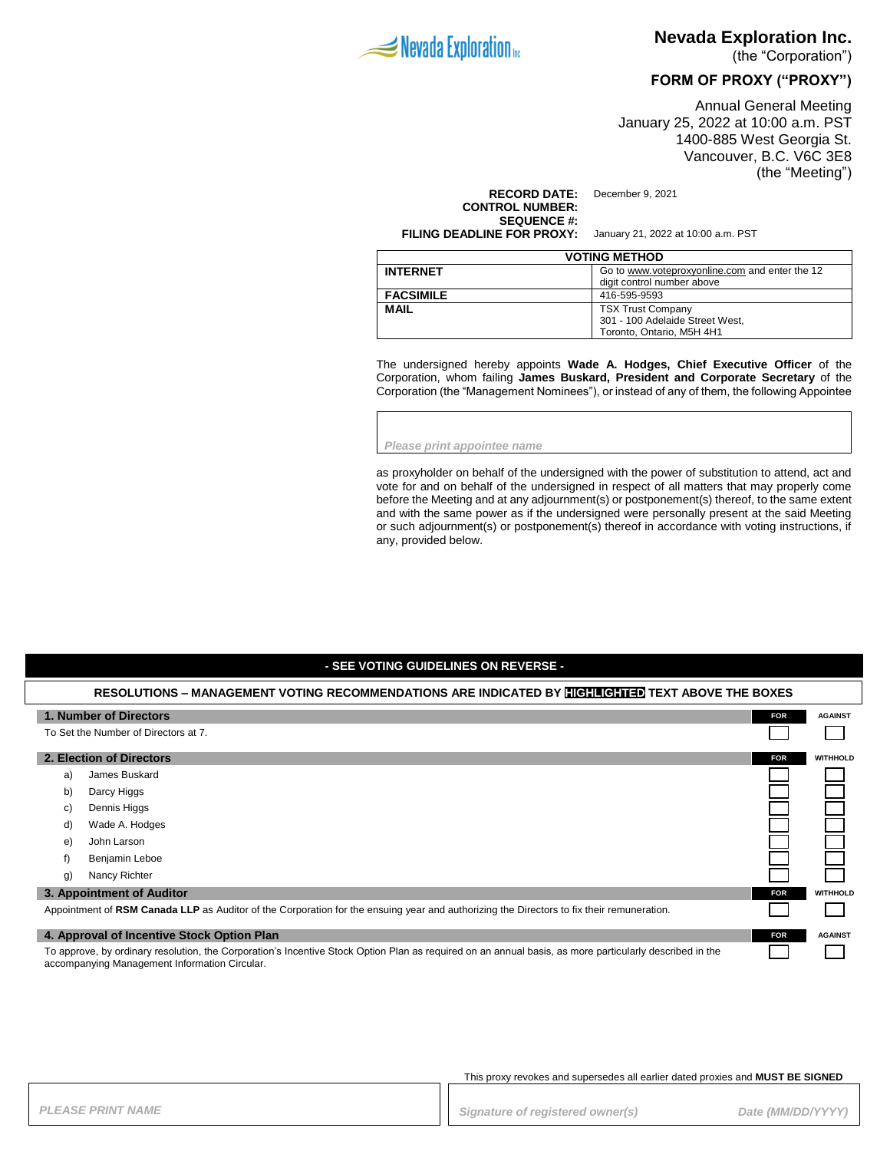

## **Nevada Exploration Inc.**

(the "Corporation")

## **FORM OF PROXY ("PROXY")**

Annual General Meeting January 25, 2022 at 10:00 a.m. PST 1400-885 West Georgia St. Vancouver, B.C. V6C 3E8 (the "Meeting")

#### **RECORD DATE:** December 9, 2021 **CONTROL NUMBER: SEQUENCE #:**

**FILING DEADLINE FOR PROXY:** January 21, 2022 at 10:00 a.m. PST

| <b>VOTING METHOD</b> |                                                |  |
|----------------------|------------------------------------------------|--|
| <b>INTERNET</b>      | Go to www.voteproxyonline.com and enter the 12 |  |
|                      | digit control number above                     |  |
| <b>FACSIMILE</b>     | 416-595-9593                                   |  |
| <b>MAIL</b>          | <b>TSX Trust Company</b>                       |  |
|                      | 301 - 100 Adelaide Street West.                |  |
|                      | Toronto. Ontario. M5H 4H1                      |  |

The undersigned hereby appoints **Wade A. Hodges, Chief Executive Officer** of the Corporation, whom failing **James Buskard, President and Corporate Secretary** of the Corporation (the "Management Nominees"), or instead of any of them, the following Appointee

*Please print appointee name*

as proxyholder on behalf of the undersigned with the power of substitution to attend, act and vote for and on behalf of the undersigned in respect of all matters that may properly come before the Meeting and at any adjournment(s) or postponement(s) thereof, to the same extent and with the same power as if the undersigned were personally present at the said Meeting or such adjournment(s) or postponement(s) thereof in accordance with voting instructions, if any, provided below.

### **- SEE VOTING GUIDELINES ON REVERSE -**

| RESOLUTIONS – MANAGEMENT VOTING RECOMMENDATIONS ARE INDICATED BY <b>HIGHLIGHTED</b> TEXT ABOVE THE BOXES                                                                                                 |                           |            |                 |
|----------------------------------------------------------------------------------------------------------------------------------------------------------------------------------------------------------|---------------------------|------------|-----------------|
|                                                                                                                                                                                                          | 1. Number of Directors    | <b>FOR</b> | <b>AGAINST</b>  |
| To Set the Number of Directors at 7.                                                                                                                                                                     |                           |            |                 |
|                                                                                                                                                                                                          | 2. Election of Directors  | <b>FOR</b> | <b>WITHHOLD</b> |
| a)                                                                                                                                                                                                       | James Buskard             |            |                 |
| b)                                                                                                                                                                                                       | Darcy Higgs               |            |                 |
| C)                                                                                                                                                                                                       | Dennis Higgs              |            |                 |
| d)                                                                                                                                                                                                       | Wade A. Hodges            |            |                 |
| e)                                                                                                                                                                                                       | John Larson               |            |                 |
| f)                                                                                                                                                                                                       | Benjamin Leboe            |            |                 |
| g)                                                                                                                                                                                                       | Nancy Richter             |            |                 |
|                                                                                                                                                                                                          | 3. Appointment of Auditor | <b>FOR</b> | <b>WITHHOLD</b> |
| Appointment of RSM Canada LLP as Auditor of the Corporation for the ensuing year and authorizing the Directors to fix their remuneration.                                                                |                           |            |                 |
| 4. Approval of Incentive Stock Option Plan                                                                                                                                                               |                           | <b>FOR</b> | <b>AGAINST</b>  |
| To approve, by ordinary resolution, the Corporation's Incentive Stock Option Plan as required on an annual basis, as more particularly described in the<br>accompanying Management Information Circular. |                           |            |                 |

This proxy revokes and supersedes all earlier dated proxies and **MUST BE SIGNED**